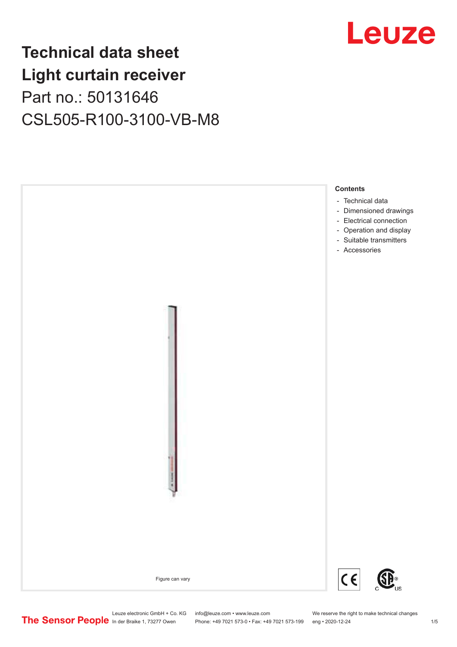### Leuze

### **Technical data sheet Light curtain receiver** Part no.: 50131646 CSL505-R100-3100-VB-M8



Phone: +49 7021 573-0 • Fax: +49 7021 573-199 eng • 2020-12-24 1 2020-12-24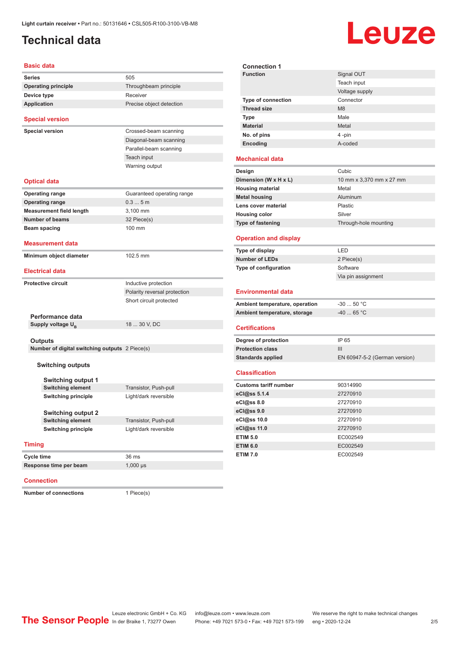#### <span id="page-1-0"></span>**Technical data**

# Leuze

**Signal OUT** 

| <b>Basic data</b>                                     |                              |
|-------------------------------------------------------|------------------------------|
| <b>Series</b>                                         | 505                          |
| <b>Operating principle</b>                            | Throughbeam principle        |
| Device type                                           | Receiver                     |
| <b>Application</b>                                    | Precise object detection     |
| <b>Special version</b>                                |                              |
| <b>Special version</b>                                | Crossed-beam scanning        |
|                                                       | Diagonal-beam scanning       |
|                                                       | Parallel-beam scanning       |
|                                                       | Teach input                  |
|                                                       | Warning output               |
| <b>Optical data</b>                                   |                              |
| <b>Operating range</b>                                | Guaranteed operating range   |
| <b>Operating range</b>                                | 0.35m                        |
| <b>Measurement field length</b>                       | 3,100 mm                     |
| Number of beams                                       | 32 Piece(s)                  |
| Beam spacing                                          | 100 mm                       |
| <b>Measurement data</b>                               |                              |
| Minimum object diameter                               | 102.5 mm                     |
| <b>Electrical data</b>                                |                              |
| <b>Protective circuit</b>                             | Inductive protection         |
|                                                       | Polarity reversal protection |
|                                                       | Short circuit protected      |
|                                                       |                              |
| Performance data                                      |                              |
| Supply voltage $U_{\rm B}$                            | 18  30 V, DC                 |
|                                                       |                              |
| <b>Outputs</b>                                        |                              |
| Number of digital switching outputs 2 Piece(s)        |                              |
| <b>Switching outputs</b>                              |                              |
|                                                       |                              |
| <b>Switching output 1</b>                             |                              |
| <b>Switching element</b>                              | Transistor, Push-pull        |
| <b>Switching principle</b>                            | Light/dark reversible        |
|                                                       |                              |
| <b>Switching output 2</b><br><b>Switching element</b> | Transistor, Push-pull        |
| <b>Switching principle</b>                            | Light/dark reversible        |
|                                                       |                              |
| <b>Timing</b>                                         |                              |
| Cycle time                                            | 36 ms                        |
| Response time per beam                                | $1,000 \,\mu s$              |
|                                                       |                              |

#### **Connection**

**Number of connections** 1 Piece(s)

|                                | Teach input                   |
|--------------------------------|-------------------------------|
|                                | Voltage supply                |
| Type of connection             | Connector                     |
| <b>Thread size</b>             | M8                            |
| <b>Type</b>                    | Male                          |
| <b>Material</b>                | Metal                         |
| No. of pins                    | 4-pin                         |
| Encoding                       | A-coded                       |
| <b>Mechanical data</b>         |                               |
| Design                         | Cubic                         |
| Dimension (W x H x L)          | 10 mm x 3,370 mm x 27 mm      |
| <b>Housing material</b>        | Metal                         |
| <b>Metal housing</b>           | Aluminum                      |
| Lens cover material            | Plastic                       |
| <b>Housing color</b>           | Silver                        |
| Type of fastening              | Through-hole mounting         |
| <b>Operation and display</b>   |                               |
| Type of display                | LED                           |
| <b>Number of LEDs</b>          | 2 Piece(s)                    |
| Type of configuration          | Software                      |
|                                | Via pin assignment            |
| <b>Environmental data</b>      |                               |
| Ambient temperature, operation | $-3050 °C$                    |
| Ambient temperature, storage   | $-40$ 65 °C                   |
| <b>Certifications</b>          |                               |
| Degree of protection           | IP 65                         |
| <b>Protection class</b>        | III                           |
| <b>Standards applied</b>       | EN 60947-5-2 (German version) |
| <b>Classification</b>          |                               |
| <b>Customs tariff number</b>   | 90314990                      |
| eCl@ss 5.1.4                   | 27270910                      |
| eCl@ss 8.0                     | 27270910                      |
| eCl@ss 9.0                     | 27270910                      |
| eCl@ss 10.0                    | 27270910                      |
| eCl@ss 11.0                    | 27270910                      |
| <b>ETIM 5.0</b>                | EC002549                      |
| <b>ETIM 6.0</b>                | EC002549                      |
| <b>ETIM 7.0</b>                | EC002549                      |
|                                |                               |

**Connection 1**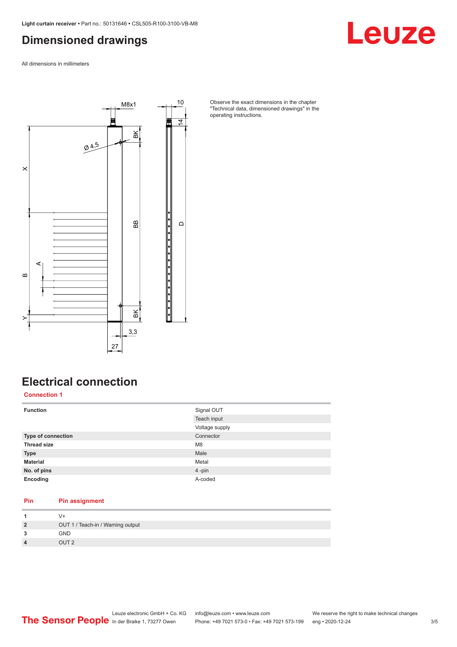#### <span id="page-2-0"></span>**Dimensioned drawings**

Leuze

All dimensions in millimeters



Observe the exact dimensions in the chapter "Technical data, dimensioned drawings" in the operating instructions.

### **Electrical connection**

**Connection 1**

| <b>Function</b>    | Signal OUT     |
|--------------------|----------------|
|                    | Teach input    |
|                    | Voltage supply |
| Type of connection | Connector      |
| <b>Thread size</b> | M <sub>8</sub> |
| <b>Type</b>        | Male           |
| <b>Material</b>    | Metal          |
| No. of pins        | $4 - pin$      |
| Encoding           | A-coded        |

#### **Pin Pin assignment**

| $\overline{2}$          | OUT 1 / Teach-in / Warning output |
|-------------------------|-----------------------------------|
| 3                       | <b>GND</b>                        |
| $\overline{\mathbf{4}}$ | OUT <sub>2</sub>                  |
|                         |                                   |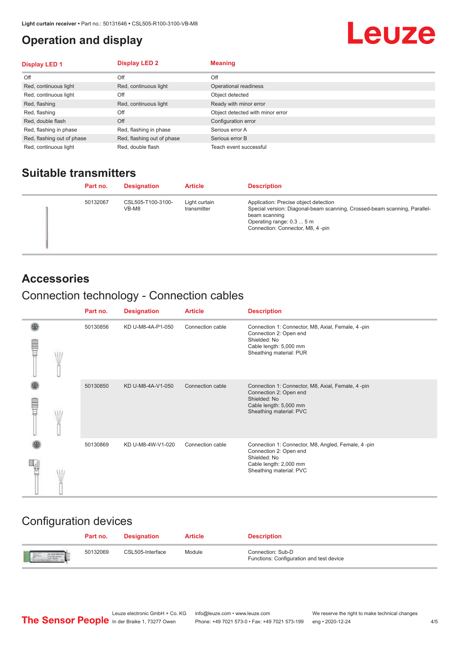#### <span id="page-3-0"></span>**Operation and display**

## Leuze

| <b>Display LED 1</b>       | <b>Display LED 2</b>       | <b>Meaning</b>                   |
|----------------------------|----------------------------|----------------------------------|
| Off                        | Off                        | Off                              |
| Red, continuous light      | Red, continuous light      | Operational readiness            |
| Red, continuous light      | Off                        | Object detected                  |
| Red, flashing              | Red, continuous light      | Ready with minor error           |
| Red, flashing              | Off                        | Object detected with minor error |
| Red, double flash          | Off                        | Configuration error              |
| Red, flashing in phase     | Red, flashing in phase     | Serious error A                  |
| Red, flashing out of phase | Red, flashing out of phase | Serious error B                  |
| Red, continuous light      | Red, double flash          | Teach event successful           |

#### **Suitable transmitters**

| Part no. | <b>Designation</b>         | <b>Article</b>               | <b>Description</b>                                                                                                                                                                                   |
|----------|----------------------------|------------------------------|------------------------------------------------------------------------------------------------------------------------------------------------------------------------------------------------------|
| 50132067 | CSL505-T100-3100-<br>VB-M8 | Light curtain<br>transmitter | Application: Precise object detection<br>Special version: Diagonal-beam scanning, Crossed-beam scanning, Parallel-<br>beam scanning<br>Operating range: 0.3  5 m<br>Connection: Connector, M8, 4-pin |

#### **Accessories**

#### Connection technology - Connection cables

|   | Part no. | <b>Designation</b> | <b>Article</b>   | <b>Description</b>                                                                                                                                |
|---|----------|--------------------|------------------|---------------------------------------------------------------------------------------------------------------------------------------------------|
| ē | 50130856 | KD U-M8-4A-P1-050  | Connection cable | Connection 1: Connector, M8, Axial, Female, 4-pin<br>Connection 2: Open end<br>Shielded: No<br>Cable length: 5,000 mm<br>Sheathing material: PUR  |
|   | 50130850 | KD U-M8-4A-V1-050  | Connection cable | Connection 1: Connector, M8, Axial, Female, 4-pin<br>Connection 2: Open end<br>Shielded: No<br>Cable length: 5,000 mm<br>Sheathing material: PVC  |
|   | 50130869 | KD U-M8-4W-V1-020  | Connection cable | Connection 1: Connector, M8, Angled, Female, 4-pin<br>Connection 2: Open end<br>Shielded: No<br>Cable length: 2,000 mm<br>Sheathing material: PVC |

#### Configuration devices

|                          | Part no. | <b>Designation</b> | <b>Article</b> | <b>Description</b>                                            |
|--------------------------|----------|--------------------|----------------|---------------------------------------------------------------|
| <b>Expertise Service</b> | 50132069 | CSL505-Interface   | Module         | Connection: Sub-D<br>Functions: Configuration and test device |